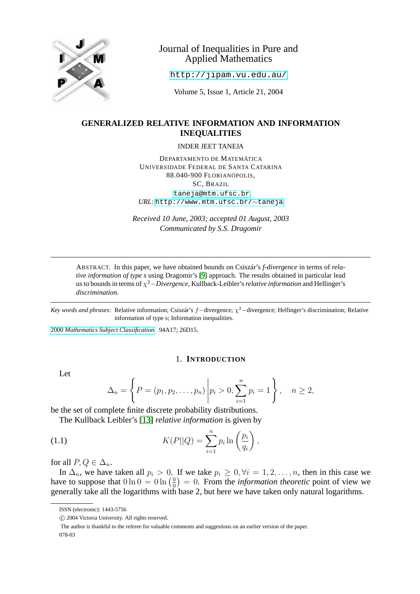

# Journal of Inequalities in Pure and Applied Mathematics

<http://jipam.vu.edu.au/>

Volume 5, Issue 1, Article 21, 2004

# **GENERALIZED RELATIVE INFORMATION AND INFORMATION INEQUALITIES**

INDER JEET TANEJA

DEPARTAMENTO DE MATEMÁTICA UNIVERSIDADE FEDERAL DE SANTA CATARINA 88.040-900 FLORIANÓPOLIS, SC, BRAZIL [taneja@mtm.ufsc.br](mailto:taneja@mtm.ufsc.br) *URL*: [http://www.mtm.ufsc.br/](http://www.mtm.ufsc.br/$sim $taneja)∼taneja

*Received 10 June, 2003; accepted 01 August, 2003 Communicated by S.S. Dragomir*

ABSTRACT. In this paper, we have obtained bounds on Csiszár's *f-divergence* in terms of *relative information of type s* using Dragomir's [\[9\]](#page-18-0) approach. The results obtained in particular lead us to bounds in terms of χ <sup>2</sup>−*Divergence*, Kullback-Leibler's*relative information* and Hellinger's *discrimination.*

*Key words and phrases:* Relative information; Csiszár's f−divergence; χ <sup>2</sup>−divergence; Hellinger's discrimination; Relative information of type s; Information inequalities.

2000 *[Mathematics Subject Classification.](http://www.ams.org/msc/)* 94A17; 26D15.

### <span id="page-0-0"></span>1. **INTRODUCTION**

Let

$$
\Delta_n = \left\{ P = (p_1, p_2, \dots, p_n) \middle| p_i > 0, \sum_{i=1}^n p_i = 1 \right\}, \quad n \ge 2,
$$

be the set of complete finite discrete probability distributions.

The Kullback Leibler's [\[13\]](#page-18-1) *relative information* is given by

(1.1) 
$$
K(P||Q) = \sum_{i=1}^{n} p_i \ln\left(\frac{p_i}{q_i}\right),
$$

for all  $P, Q \in \Delta_n$ .

In  $\Delta_n$ , we have taken all  $p_i > 0$ . If we take  $p_i \geq 0, \forall i = 1, 2, \ldots, n$ , then in this case we have to suppose that  $0 \ln 0 = 0 \ln \left( \frac{0}{0} \right)$  $\left(\frac{0}{0}\right) = 0$ . From the *information theoretic* point of view we generally take all the logarithms with base 2, but here we have taken only natural logarithms.

ISSN (electronic): 1443-5756

c 2004 Victoria University. All rights reserved.

The author is thankful to the referee for valuable comments and suggestions on an earlier version of the paper. 078-03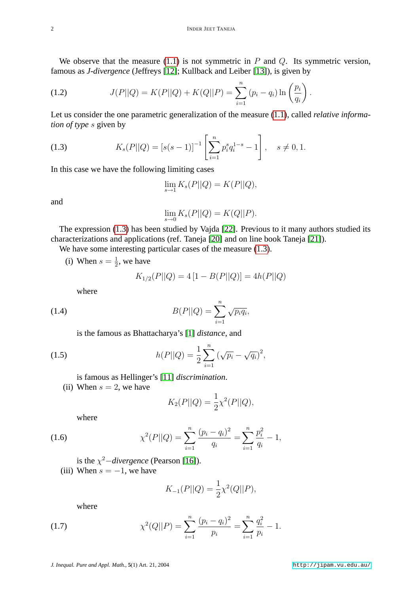We observe that the measure  $(1.1)$  is not symmetric in P and Q. Its symmetric version, famous as *J-divergence* (Jeffreys [\[12\]](#page-18-2); Kullback and Leiber [\[13\]](#page-18-1)), is given by

(1.2) 
$$
J(P||Q) = K(P||Q) + K(Q||P) = \sum_{i=1}^{n} (p_i - q_i) \ln \left(\frac{p_i}{q_i}\right).
$$

Let us consider the one parametric generalization of the measure [\(1.1\)](#page-0-0), called *relative information of type* s given by

(1.3) 
$$
K_s(P||Q) = [s(s-1)]^{-1} \left[ \sum_{i=1}^n p_i^s q_i^{1-s} - 1 \right], \quad s \neq 0, 1.
$$

In this case we have the following limiting cases

<span id="page-1-0"></span>
$$
\lim_{s \to 1} K_s(P||Q) = K(P||Q),
$$

and

$$
\lim_{s \to 0} K_s(P||Q) = K(Q||P).
$$

The expression [\(1.3\)](#page-1-0) has been studied by Vajda [\[22\]](#page-18-3). Previous to it many authors studied its characterizations and applications (ref. Taneja [\[20\]](#page-18-4) and on line book Taneja [\[21\]](#page-18-5)).

We have some interesting particular cases of the measure  $(1.3)$ .

(i) When  $s = \frac{1}{2}$  $\frac{1}{2}$ , we have

$$
K_{1/2}(P||Q) = 4[1 - B(P||Q)] = 4h(P||Q)
$$

where

(1.4) 
$$
B(P||Q) = \sum_{i=1}^{n} \sqrt{p_i q_i},
$$

is the famous as Bhattacharya's [\[1\]](#page-17-0) *distance*, and

(1.5) 
$$
h(P||Q) = \frac{1}{2} \sum_{i=1}^{n} (\sqrt{p_i} - \sqrt{q_i})^2,
$$

is famous as Hellinger's [\[11\]](#page-18-6) *discrimination*.

(ii) When  $s = 2$ , we have

<span id="page-1-3"></span>
$$
K_2(P||Q) = \frac{1}{2}\chi^2(P||Q),
$$

<span id="page-1-1"></span>where

(1.6) 
$$
\chi^2(P||Q) = \sum_{i=1}^n \frac{(p_i - q_i)^2}{q_i} = \sum_{i=1}^n \frac{p_i^2}{q_i} - 1,
$$

is the  $\chi^2$ *-divergence* (Pearson [\[16\]](#page-18-7)).

(iii) When  $s = -1$ , we have

$$
K_{-1}(P||Q) = \frac{1}{2}\chi^2(Q||P),
$$

<span id="page-1-2"></span>where

(1.7) 
$$
\chi^2(Q||P) = \sum_{i=1}^n \frac{(p_i - q_i)^2}{p_i} = \sum_{i=1}^n \frac{q_i^2}{p_i} - 1.
$$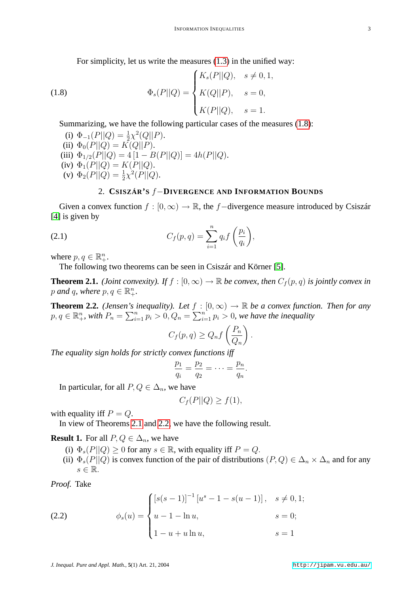<span id="page-2-0"></span>For simplicity, let us write the measures [\(1.3\)](#page-1-0) in the unified way:

(1.8) 
$$
\Phi_s(P||Q) = \begin{cases} K_s(P||Q), & s \neq 0, 1, \\ K(Q||P), & s = 0, \\ K(P||Q), & s = 1. \end{cases}
$$

Summarizing, we have the following particular cases of the measures [\(1.8\)](#page-2-0):

(i) 
$$
\Phi_{-1}(P||Q) = \frac{1}{2}\chi^2(Q||P)
$$
.  
\n(ii)  $\Phi_0(P||Q) = K(Q||P)$ .  
\n(iii)  $\Phi_{1/2}(P||Q) = 4[1 - B(P||Q)] = 4h(P||Q)$ .  
\n(iv)  $\Phi_1(P||Q) = K(P||Q)$ .  
\n(v)  $\Phi_2(P||Q) = \frac{1}{2}\chi^2(P||Q)$ .

#### <span id="page-2-3"></span>2. **CSISZÁR'S** f−**DIVERGENCE AND INFORMATION BOUNDS**

Given a convex function  $f : [0, \infty) \to \mathbb{R}$ , the f – divergence measure introduced by Csiszár [\[4\]](#page-18-8) is given by

(2.1) 
$$
C_f(p,q) = \sum_{i=1}^n q_i f\left(\frac{p_i}{q_i}\right),
$$

where  $p, q \in \mathbb{R}^n_+$ .

The following two theorems can be seen in Csiszár and Körner [\[5\]](#page-18-9).

<span id="page-2-1"></span>**Theorem 2.1.** *(Joint convexity). If*  $f : [0, \infty) \to \mathbb{R}$  *be convex, then*  $C_f(p, q)$  *is jointly convex in* p and q, where  $p, q \in \mathbb{R}_+^n$ .

<span id="page-2-2"></span>**Theorem 2.2.** *(Jensen's inequality). Let*  $f : [0, \infty) \to \mathbb{R}$  *be a convex function. Then for any*  $p, q \in \mathbb{R}^n_+$ , with  $P_n = \sum_{i=1}^n p_i > 0$ ,  $Q_n = \sum_{i=1}^n p_i > 0$ , we have the inequality

$$
C_f(p,q) \ge Q_n f\left(\frac{P_n}{Q_n}\right).
$$

*The equality sign holds for strictly convex functions iff*

$$
\frac{p_1}{q_i} = \frac{p_2}{q_2} = \cdots = \frac{p_n}{q_n}.
$$

In particular, for all  $P, Q \in \Delta_n$ , we have

$$
C_f(P||Q) \ge f(1),
$$

with equality iff  $P = Q$ .

In view of Theorems [2.1](#page-2-1) and [2.2,](#page-2-2) we have the following result.

**Result 1.** For all  $P, Q \in \Delta_n$ , we have

- (i)  $\Phi_s(P||Q) \ge 0$  for any  $s \in \mathbb{R}$ , with equality iff  $P = Q$ .
- <span id="page-2-4"></span>(ii)  $\Phi_s(P||Q)$  is convex function of the pair of distributions  $(P,Q) \in \Delta_n \times \Delta_n$  and for any  $s \in \mathbb{R}$ .

*Proof.* Take

(2.2) 
$$
\phi_s(u) = \begin{cases} [s(s-1)]^{-1} [u^s - 1 - s(u-1)], & s \neq 0, 1; \\ u - 1 - \ln u, & s = 0; \\ 1 - u + u \ln u, & s = 1 \end{cases}
$$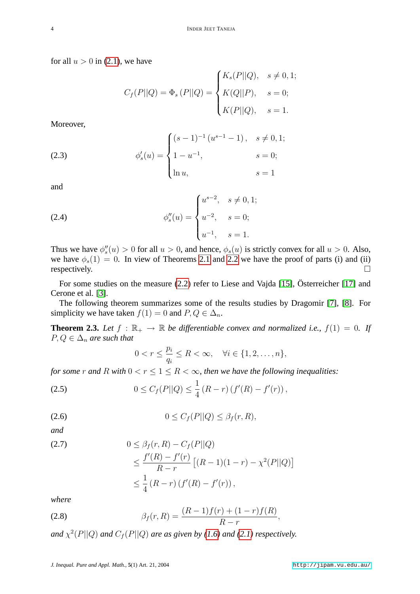for all  $u > 0$  in [\(2.1\)](#page-2-3), we have

$$
C_f(P||Q) = \Phi_s(P||Q) = \begin{cases} K_s(P||Q), & s \neq 0,1; \\ K(Q||P), & s = 0; \\ K(P||Q), & s = 1. \end{cases}
$$

<span id="page-3-2"></span>Moreover,

(2.3) 
$$
\phi_s'(u) = \begin{cases} (s-1)^{-1} (u^{s-1} - 1), & s \neq 0, 1; \\ 1 - u^{-1}, & s = 0; \\ \ln u, & s = 1 \end{cases}
$$

<span id="page-3-3"></span>and

(2.4) 
$$
\phi_s''(u) = \begin{cases} u^{s-2}, & s \neq 0, 1; \\ u^{-2}, & s = 0; \\ u^{-1}, & s = 1. \end{cases}
$$

Thus we have  $\phi''_s(u) > 0$  for all  $u > 0$ , and hence,  $\phi_s(u)$  is strictly convex for all  $u > 0$ . Also, we have  $\phi_s(1) = 0$ . In view of Theorems [2.1](#page-2-1) and [2.2](#page-2-2) we have the proof of parts (i) and (ii) respectively.  $\Box$ 

For some studies on the measure [\(2.2\)](#page-2-4) refer to Liese and Vajda [\[15\]](#page-18-10), Österreicher [\[17\]](#page-18-11) and Cerone et al. [\[3\]](#page-18-12).

The following theorem summarizes some of the results studies by Dragomir [\[7\]](#page-18-13), [\[8\]](#page-18-14). For simplicity we have taken  $f(1) = 0$  and  $P, Q \in \Delta_n$ .

<span id="page-3-0"></span>**Theorem 2.3.** Let  $f : \mathbb{R}_+ \to \mathbb{R}$  be differentiable convex and normalized i.e.,  $f(1) = 0$ . If  $P, Q \in \Delta_n$  *are such that* 

$$
0 < r \le \frac{p_i}{q_i} \le R < \infty, \quad \forall i \in \{1, 2, \dots, n\},
$$

*for some* r *and* R *with*  $0 < r \leq 1 \leq R < \infty$ *, then we have the following inequalities:* 

<span id="page-3-4"></span>(2.5) 
$$
0 \leq C_f(P||Q) \leq \frac{1}{4} (R-r) (f'(R) - f'(r)),
$$

$$
(2.6) \t\t\t 0 \le C_f(P||Q) \le \beta_f(r, R),
$$

*and*

$$
(2.7) \t\t 0 \leq \beta_f(r, R) - C_f(P||Q)
$$

$$
\leq \frac{f'(R) - f'(r)}{R - r} [(R - 1)(1 - r) - \chi^2(P||Q)]
$$
  

$$
\leq \frac{1}{4} (R - r) (f'(R) - f'(r)),
$$

<span id="page-3-1"></span>*where*

(2.8) 
$$
\beta_f(r,R) = \frac{(R-1)f(r) + (1-r)f(R)}{R-r},
$$

and  $\chi^2(P||Q)$  and  $C_f(P||Q)$  are as given by [\(1.6\)](#page-1-1) and [\(2.1\)](#page-2-3) respectively.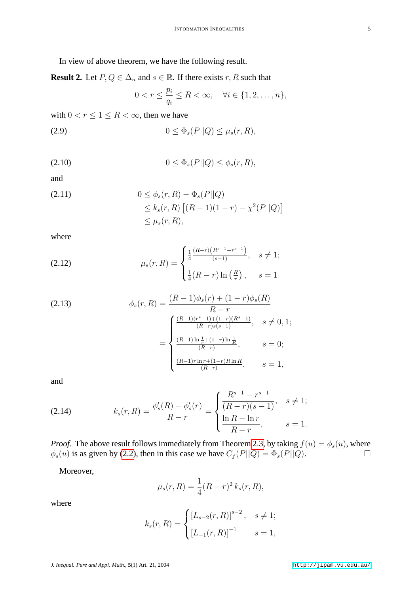In view of above theorem, we have the following result.

<span id="page-4-0"></span>**Result 2.** Let  $P, Q \in \Delta_n$  and  $s \in \mathbb{R}$ . If there exists r, R such that

<span id="page-4-1"></span>
$$
0 < r \le \frac{p_i}{q_i} \le R < \infty, \quad \forall i \in \{1, 2, \dots, n\},
$$

with  $0 < r \leq 1 \leq R < \infty$ , then we have

<span id="page-4-2"></span>
$$
(2.9) \t\t 0 \leq \Phi_s(P||Q) \leq \mu_s(r,R),
$$

$$
(2.10) \t\t 0 \le \Phi_s(P||Q) \le \phi_s(r,R),
$$

and

<span id="page-4-3"></span>(2.11) 
$$
0 \leq \phi_s(r, R) - \Phi_s(P||Q) \leq k_s(r, R) [(R - 1)(1 - r) - \chi^2(P||Q)] \leq \mu_s(r, R),
$$

where

(2.12) 
$$
\mu_s(r,R) = \begin{cases} \frac{1}{4} \frac{(R-r)(R^{s-1}-r^{s-1})}{(s-1)}, & s \neq 1; \\ \frac{1}{4}(R-r)\ln\left(\frac{R}{r}\right), & s = 1 \end{cases}
$$

<span id="page-4-4"></span>(2.13) 
$$
\phi_s(r,R) = \frac{(R-1)\phi_s(r) + (1-r)\phi_s(R)}{R-r}
$$

$$
= \begin{cases} \frac{(R-1)(r^s-1) + (1-r)(R^s-1)}{(R-r)s(s-1)}, & s \neq 0, 1; \\ \frac{(R-1)\ln\frac{1}{r} + (1-r)\ln\frac{1}{R}}{(R-r)}, & s = 0; \\ \frac{(R-1)r\ln r + (1-r)R\ln R}{(R-r)}, & s = 1, \end{cases}
$$

and

(2.14) 
$$
k_s(r,R) = \frac{\phi_s'(R) - \phi_s'(r)}{R - r} = \begin{cases} \frac{R^{s-1} - r^{s-1}}{(R - r)(s-1)}, & s \neq 1; \\ \frac{\ln R - \ln r}{R - r}, & s = 1. \end{cases}
$$

*Proof.* The above result follows immediately from Theorem [2.3,](#page-3-0) by taking  $f(u) = \phi_s(u)$ , where  $\phi_s(u)$  is as given by [\(2.2\)](#page-2-4), then in this case we have  $C_f(P||Q) = \Phi_s(P||Q)$ .

Moreover,

$$
\mu_s(r, R) = \frac{1}{4}(R - r)^2 k_s(r, R),
$$

where

$$
k_s(r,R) = \begin{cases} [L_{s-2}(r,R)]^{s-2}, & s \neq 1; \\ [L_{-1}(r,R)]^{-1} & s = 1, \end{cases}
$$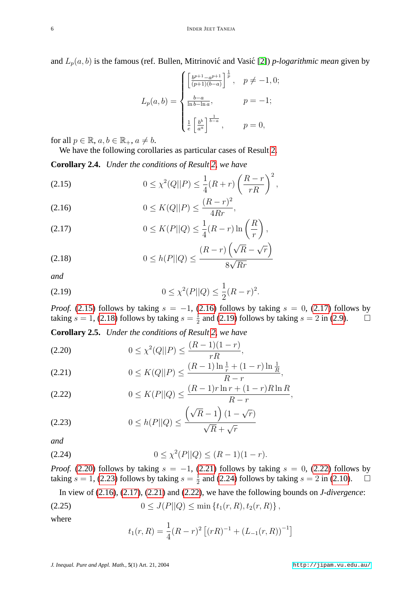and  $L_p(a, b)$  is the famous (ref. Bullen, Mitrinović and Vasić [\[2\]](#page-17-1)) *p-logarithmic mean* given by

$$
L_p(a,b) = \begin{cases} \left[\frac{b^{p+1} - a^{p+1}}{(p+1)(b-a)}\right]^{\frac{1}{p}}, & p \neq -1, 0; \\ \frac{b-a}{\ln b - \ln a}, & p = -1; \\ \frac{1}{e} \left[\frac{b^b}{a^a}\right]^{\frac{1}{b-a}}, & p = 0, \end{cases}
$$

for all  $p \in \mathbb{R}$ ,  $a, b \in \mathbb{R}_+$ ,  $a \neq b$ .

We have the following corollaries as particular cases of Result [2.](#page-4-0)

**Corollary 2.4.** *Under the conditions of Result [2,](#page-4-0) we have*

<span id="page-5-0"></span>(2.15) 
$$
0 \le \chi^2(Q||P) \le \frac{1}{4}(R+r)\left(\frac{R-r}{rR}\right)^2,
$$

<span id="page-5-1"></span>(2.16) 
$$
0 \le K(Q||P) \le \frac{(R-r)^2}{4Rr},
$$

<span id="page-5-2"></span>
$$
(2.17) \t 0 \le K(P||Q) \le \frac{1}{4}(R-r)\ln\left(\frac{R}{r}\right),
$$

<span id="page-5-3"></span>
$$
(2.18) \t 0 \le h(P||Q) \le \frac{(R-r)\left(\sqrt{R} - \sqrt{r}\right)}{8\sqrt{Rr}}
$$

<span id="page-5-4"></span>*and*

(2.19) 
$$
0 \leq \chi^2(P||Q) \leq \frac{1}{2}(R-r)^2.
$$

*Proof.* [\(2.15\)](#page-5-0) follows by taking  $s = -1$ , [\(2.16\)](#page-5-1) follows by taking  $s = 0$ , [\(2.17\)](#page-5-2) follows by taking  $s = 1$ , [\(2.18\)](#page-5-3) follows by taking  $s = \frac{1}{2}$  $\frac{1}{2}$  and [\(2.19\)](#page-5-4) follows by taking  $s = 2$  in [\(2.9\)](#page-4-1).  $\Box$ 

**Corollary 2.5.** *Under the conditions of Result [2,](#page-4-0) we have*

<span id="page-5-5"></span>
$$
(2.20) \t\t 0 \le \chi^2(Q||P) \le \frac{(R-1)(1-r)}{rR},
$$

<span id="page-5-6"></span>
$$
(2.21) \t 0 \le K(Q||P) \le \frac{(R-1)\ln\frac{1}{r} + (1-r)\ln\frac{1}{R}}{R-r},
$$

<span id="page-5-7"></span>(2.22) 
$$
0 \le K(P||Q) \le \frac{(R-1)r\ln r + (1-r)R\ln R}{R-r},
$$

<span id="page-5-8"></span>
$$
(2.23) \qquad \qquad 0 \le h(P||Q) \le \frac{\left(\sqrt{R} - 1\right)\left(1 - \sqrt{r}\right)}{\sqrt{R} + \sqrt{r}}
$$

<span id="page-5-9"></span>*and*

$$
(2.24) \t\t 0 \le \chi^2(P||Q) \le (R-1)(1-r).
$$

*Proof.* [\(2.20\)](#page-5-5) follows by taking  $s = -1$ , [\(2.21\)](#page-5-6) follows by taking  $s = 0$ , [\(2.22\)](#page-5-7) follows by taking  $s = 1$ , [\(2.23\)](#page-5-8) follows by taking  $s = \frac{1}{2}$  $\frac{1}{2}$  and [\(2.24\)](#page-5-9) follows by taking  $s = 2$  in [\(2.10\)](#page-4-2).  $\Box$ 

In view of [\(2.16\)](#page-5-1), [\(2.17\)](#page-5-2), [\(2.21\)](#page-5-6) and [\(2.22\)](#page-5-7), we have the following bounds on *J-divergence*:

$$
(2.25) \t\t 0 \le J(P||Q) \le \min\left\{t_1(r,R), t_2(r,R)\right\},\,
$$

where

$$
t_1(r,R) = \frac{1}{4}(R-r)^2 \left[ (rR)^{-1} + (L_{-1}(r,R))^{-1} \right]
$$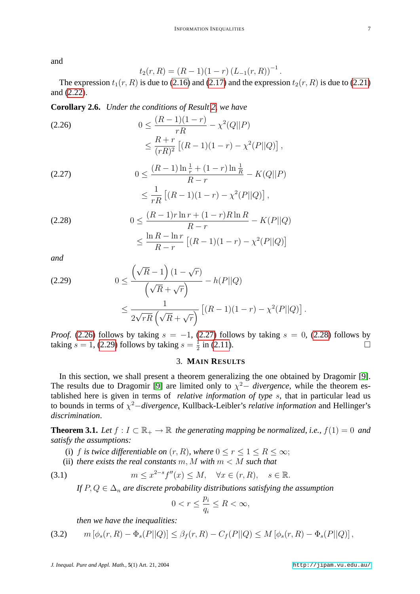and

$$
t_2(r,R) = (R-1)(1-r) (L_{-1}(r,R))^{-1}.
$$

The expression  $t_1(r, R)$  is due to [\(2.16\)](#page-5-1) and [\(2.17\)](#page-5-2) and the expression  $t_2(r, R)$  is due to [\(2.21\)](#page-5-6) and [\(2.22\)](#page-5-7).

**Corollary 2.6.** *Under the conditions of Result [2,](#page-4-0) we have*

<span id="page-6-0"></span>(2.26) 
$$
0 \le \frac{(R-1)(1-r)}{rR} - \chi^2(Q||P) \le \frac{R+r}{(rR)^2} [(R-1)(1-r) - \chi^2(P||Q)],
$$

<span id="page-6-1"></span>(2.27) 
$$
0 \le \frac{(R-1)\ln\frac{1}{r} + (1-r)\ln\frac{1}{R}}{R-r} - K(Q||P) \le \frac{1}{rR} \left[ (R-1)(1-r) - \chi^2(P||Q) \right],
$$

<span id="page-6-2"></span>(2.28) 
$$
0 \le \frac{(R-1)r\ln r + (1-r)R\ln R}{R-r} - K(P||Q)
$$

$$
\le \frac{\ln R - \ln r}{R-r} [(R-1)(1-r) - \chi^2(P||Q)]
$$

*and*

<span id="page-6-3"></span>
$$
(2.29) \qquad 0 \le \frac{\left(\sqrt{R} - 1\right)(1 - \sqrt{r})}{\left(\sqrt{R} + \sqrt{r}\right)} - h(P||Q)
$$

$$
\le \frac{1}{2\sqrt{rR}\left(\sqrt{R} + \sqrt{r}\right)} \left[ (R - 1)(1 - r) - \chi^2(P||Q) \right].
$$

*Proof.* [\(2.26\)](#page-6-0) follows by taking  $s = -1$ , [\(2.27\)](#page-6-1) follows by taking  $s = 0$ , [\(2.28\)](#page-6-2) follows by taking  $s = 1$ , [\(2.29\)](#page-6-3) follows by taking  $s = \frac{1}{2}$  $\frac{1}{2}$  in [\(2.11\)](#page-4-3).

## 3. **MAIN RESULTS**

In this section, we shall present a theorem generalizing the one obtained by Dragomir [\[9\]](#page-18-0). The results due to Dragomir [\[9\]](#page-18-0) are limited only to  $\chi^2$  *divergence*, while the theorem established here is given in terms of *relative information of type* s, that in particular lead us to bounds in terms of χ <sup>2</sup>−*divergence*, Kullback-Leibler's *relative information* and Hellinger's *discrimination*.

<span id="page-6-6"></span>**Theorem 3.1.** Let  $f: I \subset \mathbb{R}_+ \to \mathbb{R}$  the generating mapping be normalized, i.e.,  $f(1) = 0$  and *satisfy the assumptions:*

- (i) f *is twice differentiable on*  $(r, R)$ *, where*  $0 \le r \le 1 \le R \le \infty$ ;
- (ii) *there exists the real constants*  $m, M$  *with*  $m < M$  *such that*

(3.1) 
$$
m \leq x^{2-s} f''(x) \leq M, \quad \forall x \in (r, R), \quad s \in \mathbb{R}.
$$

*If*  $P, Q \in \Delta_n$  *are discrete probability distributions satisfying the assumption* 

<span id="page-6-5"></span><span id="page-6-4"></span>
$$
0 < r \le \frac{p_i}{q_i} \le R < \infty
$$

*then we have the inequalities:*

(3.2) 
$$
m[\phi_s(r, R) - \Phi_s(P||Q)] \leq \beta_f(r, R) - C_f(P||Q) \leq M[\phi_s(r, R) - \Phi_s(P||Q)],
$$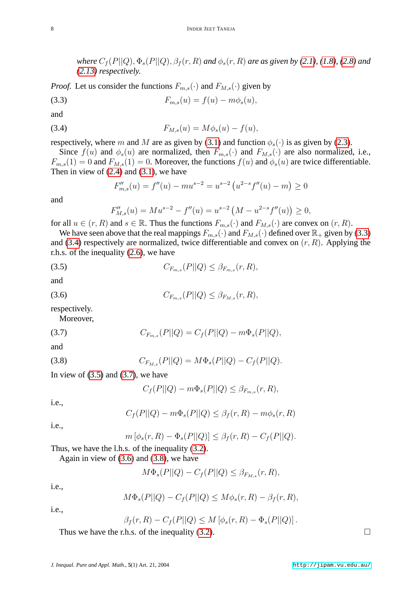*where*  $C_f(P||Q)$ ,  $\Phi_s(P||Q)$ ,  $\beta_f(r, R)$  *and*  $\phi_s(r, R)$  *are as given by* [\(2.1\)](#page-2-3)*,* [\(1.8\)](#page-2-0)*,* [\(2.8\)](#page-3-1) *and [\(2.13\)](#page-4-4) respectively.*

*Proof.* Let us consider the functions  $F_{m,s}(\cdot)$  and  $F_{M,s}(\cdot)$  given by

(3.3) 
$$
F_{m,s}(u) = f(u) - m\phi_s(u),
$$

<span id="page-7-1"></span>and

(3.4) 
$$
F_{M,s}(u) = M\phi_s(u) - f(u),
$$

respectively, where m and M are as given by [\(3.1\)](#page-6-4) and function  $\phi_s(\cdot)$  is as given by [\(2.3\)](#page-3-2).

Since  $f(u)$  and  $\phi_s(u)$  are normalized, then  $F_{m,s}(\cdot)$  and  $F_{M,s}(\cdot)$  are also normalized, i.e.,  $F_{m,s}(1) = 0$  and  $F_{M,s}(1) = 0$ . Moreover, the functions  $f(u)$  and  $\phi_s(u)$  are twice differentiable. Then in view of  $(2.4)$  and  $(3.1)$ , we have

<span id="page-7-0"></span>
$$
F_{m,s}''(u) = f''(u) - mu^{s-2} = u^{s-2} \left( u^{2-s} f''(u) - m \right) \ge 0
$$

and

<span id="page-7-2"></span>
$$
F_{M,s}''(u) = M u^{s-2} - f''(u) = u^{s-2} \left( M - u^{2-s} f''(u) \right) \ge 0,
$$

for all  $u \in (r, R)$  and  $s \in \mathbb{R}$ . Thus the functions  $F_{m,s}(\cdot)$  and  $F_{M,s}(\cdot)$  are convex on  $(r, R)$ .

We have seen above that the real mappings  $F_{m,s}(\cdot)$  and  $F_{M,s}(\cdot)$  defined over  $\mathbb{R}_+$  given by [\(3.3\)](#page-7-0) and [\(3.4\)](#page-7-1) respectively are normalized, twice differentiable and convex on  $(r, R)$ . Applying the r.h.s. of the inequality [\(2.6\)](#page-3-4), we have

(3.5) 
$$
C_{F_{m,s}}(P||Q) \leq \beta_{F_{m,s}}(r,R),
$$

<span id="page-7-4"></span>and

(3.6) 
$$
C_{F_{m,s}}(P||Q) \leq \beta_{F_{M,s}}(r,R),
$$

respectively.

<span id="page-7-3"></span>Moreover,

(3.7) 
$$
C_{F_{m,s}}(P||Q) = C_f(P||Q) - m\Phi_s(P||Q),
$$

<span id="page-7-5"></span>and

(3.8) 
$$
C_{F_{M,s}}(P||Q) = M\Phi_s(P||Q) - C_f(P||Q).
$$

In view of  $(3.5)$  and  $(3.7)$ , we have

$$
C_f(P||Q) - m\Phi_s(P||Q) \leq \beta_{F_{m,s}}(r,R),
$$

i.e.,

$$
C_f(P||Q) - m\Phi_s(P||Q) \le \beta_f(r, R) - m\phi_s(r, R)
$$

i.e.,

$$
m\left[\phi_s(r,R)-\Phi_s(P||Q)\right] \leq \beta_f(r,R)-C_f(P||Q).
$$

Thus, we have the l.h.s. of the inequality [\(3.2\)](#page-6-5).

Again in view of  $(3.6)$  and  $(3.8)$ , we have

$$
M\Phi_s(P||Q) - C_f(P||Q) \leq \beta_{F_{M,s}}(r,R),
$$

i.e.,

$$
M\Phi_s(P||Q) - C_f(P||Q) \le M\phi_s(r, R) - \beta_f(r, R),
$$

i.e.,

$$
\beta_f(r, R) - C_f(P||Q) \le M\left[\phi_s(r, R) - \Phi_s(P||Q)\right].
$$

Thus we have the r.h.s. of the inequality [\(3.2\)](#page-6-5).  $\Box$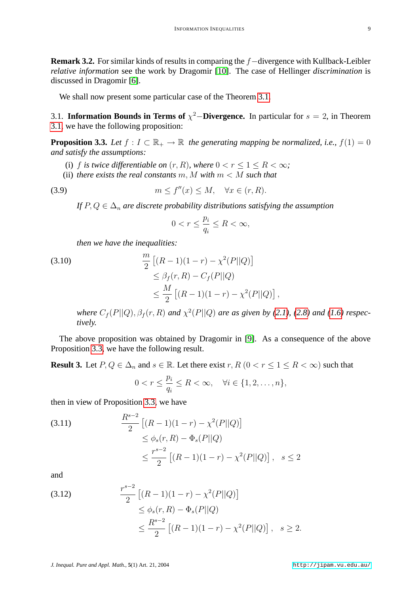**Remark 3.2.** For similar kinds of results in comparing the f−divergence with Kullback-Leibler *relative information* see the work by Dragomir [\[10\]](#page-18-15). The case of Hellinger *discrimination* is discussed in Dragomir [\[6\]](#page-18-16).

We shall now present some particular case of the Theorem [3.1.](#page-6-6)

3.1. **Information Bounds in Terms of**  $\chi^2$ –**Divergence.** In particular for  $s = 2$ , in Theorem [3.1,](#page-6-6) we have the following proposition:

<span id="page-8-0"></span>**Proposition 3.3.** *Let*  $f: I \subset \mathbb{R}_+ \to \mathbb{R}$  *the generating mapping be normalized, i.e.,*  $f(1) = 0$ *and satisfy the assumptions:*

- (i) f is twice differentiable on  $(r, R)$ , where  $0 < r \leq 1 \leq R < \infty$ ;
- (ii) *there exists the real constants*  $m$ ,  $M$  *with*  $m < M$  *such that*

$$
(3.9) \t\t m \le f''(x) \le M, \quad \forall x \in (r, R).
$$

*If*  $P, Q \in \Delta_n$  *are discrete probability distributions satisfying the assumption* 

<span id="page-8-1"></span>
$$
0 < r \le \frac{p_i}{q_i} \le R < \infty
$$

*then we have the inequalities:*

(3.10)  
\n
$$
\frac{m}{2} [(R-1)(1-r) - \chi^2(P||Q)]
$$
\n
$$
\leq \beta_f(r, R) - C_f(P||Q)
$$
\n
$$
\leq \frac{M}{2} [(R-1)(1-r) - \chi^2(P||Q)],
$$

*where*  $C_f(P||Q), \beta_f(r, R)$  *and*  $\chi^2(P||Q)$  *are as given by* [\(2.1\)](#page-2-3), [\(2.8\)](#page-3-1) *and* [\(1.6\)](#page-1-1) *respectively.*

The above proposition was obtained by Dragomir in [\[9\]](#page-18-0). As a consequence of the above Proposition [3.3,](#page-8-0) we have the following result.

<span id="page-8-2"></span>**Result 3.** Let  $P, Q \in \Delta_n$  and  $s \in \mathbb{R}$ . Let there exist  $r, R$   $(0 < r \leq 1 \leq R < \infty)$  such that

$$
0 < r \le \frac{p_i}{q_i} \le R < \infty, \quad \forall i \in \{1, 2, \dots, n\},
$$

then in view of Proposition [3.3,](#page-8-0) we have

(3.11) 
$$
\frac{R^{s-2}}{2} \left[ (R-1)(1-r) - \chi^2(P||Q) \right] \n\leq \phi_s(r, R) - \Phi_s(P||Q) \n\leq \frac{r^{s-2}}{2} \left[ (R-1)(1-r) - \chi^2(P||Q) \right], \quad s \leq 2
$$

and

(3.12) 
$$
\frac{r^{s-2}}{2} \left[ (R-1)(1-r) - \chi^2(P||Q) \right] \le \phi_s(r, R) - \Phi_s(P||Q) \le \frac{R^{s-2}}{2} \left[ (R-1)(1-r) - \chi^2(P||Q) \right], \quad s \ge 2.
$$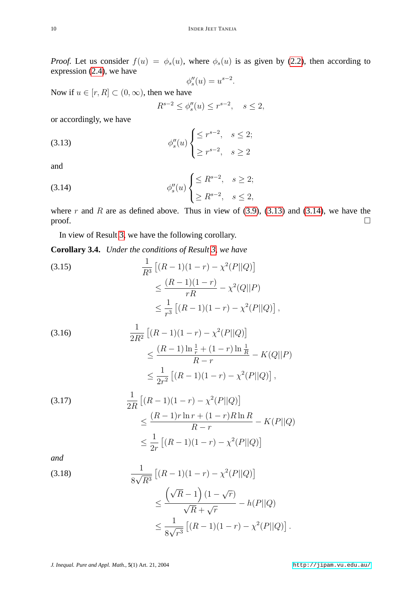*Proof.* Let us consider  $f(u) = \phi_s(u)$ , where  $\phi_s(u)$  is as given by [\(2.2\)](#page-2-4), then according to expression [\(2.4\)](#page-3-3), we have

$$
\phi_s''(u) = u^{s-2}.
$$

Now if  $u \in [r, R] \subset (0, \infty)$ , then we have

<span id="page-9-0"></span>
$$
R^{s-2} \le \phi_s''(u) \le r^{s-2}, \quad s \le 2,
$$

or accordingly, we have

$$
\phi_s''(u) \begin{cases} \leq r^{s-2}, & s \leq 2; \\ \geq r^{s-2}, & s \geq 2 \end{cases}
$$

<span id="page-9-1"></span>and

(3.14) 
$$
\phi_s''(u) \begin{cases} \leq R^{s-2}, & s \geq 2; \\ \geq R^{s-2}, & s \leq 2, \end{cases}
$$

where r and R are as defined above. Thus in view of  $(3.9)$ ,  $(3.13)$  and  $(3.14)$ , we have the  $\Box$ 

In view of Result [3,](#page-8-2) we have the following corollary.

**Corollary 3.4.** *Under the conditions of Result [3,](#page-8-2) we have*

<span id="page-9-2"></span>(3.15)  
\n
$$
\frac{1}{R^3} [(R-1)(1-r) - \chi^2(P||Q)]
$$
\n
$$
\leq \frac{(R-1)(1-r)}{rR} - \chi^2(Q||P)
$$
\n
$$
\leq \frac{1}{r^3} [(R-1)(1-r) - \chi^2(P||Q)],
$$

<span id="page-9-3"></span>(3.16)  
\n
$$
\frac{1}{2R^2} \left[ (R-1)(1-r) - \chi^2(P||Q) \right]
$$
\n
$$
\leq \frac{(R-1)\ln\frac{1}{r} + (1-r)\ln\frac{1}{R}}{R-r} - K(Q||P)
$$
\n
$$
\leq \frac{1}{2r^2} \left[ (R-1)(1-r) - \chi^2(P||Q) \right],
$$

<span id="page-9-4"></span>(3.17)  
\n
$$
\frac{1}{2R} [(R-1)(1-r) - \chi^2(P||Q)]
$$
\n
$$
\leq \frac{(R-1)r \ln r + (1-r)R \ln R}{R-r} - K(P||Q)
$$
\n
$$
\leq \frac{1}{2r} [(R-1)(1-r) - \chi^2(P||Q)]
$$

*and*

<span id="page-9-5"></span>(3.18)  
\n
$$
\frac{1}{8\sqrt{R^3}} [(R-1)(1-r) - \chi^2(P||Q)]
$$
\n
$$
\leq \frac{(\sqrt{R}-1)(1-\sqrt{r})}{\sqrt{R}+\sqrt{r}} - h(P||Q)
$$
\n
$$
\leq \frac{1}{8\sqrt{r^3}} [(R-1)(1-r) - \chi^2(P||Q)].
$$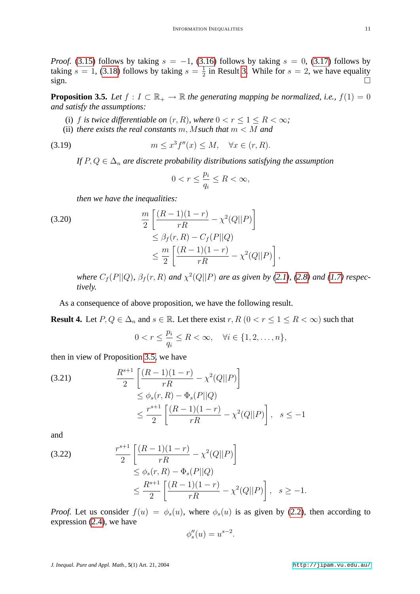*Proof.* [\(3.15\)](#page-9-2) follows by taking  $s = -1$ , [\(3.16\)](#page-9-3) follows by taking  $s = 0$ , [\(3.17\)](#page-9-4) follows by taking  $s = 1$ , [\(3.18\)](#page-9-5) follows by taking  $s = \frac{1}{2}$  $\frac{1}{2}$  in Result [3.](#page-8-2) While for  $s = 2$ , we have equality sign.

<span id="page-10-0"></span>**Proposition 3.5.** *Let*  $f: I \subset \mathbb{R}_+ \to \mathbb{R}$  *the generating mapping be normalized, i.e.,*  $f(1) = 0$ *and satisfy the assumptions:*

- (i) f *is twice differentiable on*  $(r, R)$ *, where*  $0 < r < 1 < R < \infty$ *;*
- (ii) *there exists the real constants* m, M*such that* m < M *and*

$$
(3.19) \t\t m \le x^3 f''(x) \le M, \quad \forall x \in (r, R).
$$

*If*  $P, Q \in \Delta_n$  *are discrete probability distributions satisfying the assumption* 

$$
0 < r \le \frac{p_i}{q_i} \le R < \infty,
$$

*then we have the inequalities:*

(3.20)  
\n
$$
\frac{m}{2} \left[ \frac{(R-1)(1-r)}{rR} - \chi^2(Q||P) \right] \leq \beta_f(r, R) - C_f(P||Q) \leq \frac{m}{2} \left[ \frac{(R-1)(1-r)}{rR} - \chi^2(Q||P) \right],
$$

*where*  $C_f(P||Q)$ ,  $\beta_f(r, R)$  and  $\chi^2(Q||P)$  are as given by [\(2.1\)](#page-2-3), [\(2.8\)](#page-3-1) and [\(1.7\)](#page-1-2) respec*tively.*

As a consequence of above proposition, we have the following result.

<span id="page-10-1"></span>**Result 4.** Let  $P, Q \in \Delta_n$  and  $s \in \mathbb{R}$ . Let there exist  $r, R \ (0 < r \leq 1 \leq R < \infty)$  such that

$$
0 < r \le \frac{p_i}{q_i} \le R < \infty, \quad \forall i \in \{1, 2, \dots, n\},
$$

then in view of Proposition [3.5,](#page-10-0) we have

(3.21) 
$$
\frac{R^{s+1}}{2} \left[ \frac{(R-1)(1-r)}{rR} - \chi^2(Q||P) \right] \le \phi_s(r, R) - \Phi_s(P||Q) \le \frac{r^{s+1}}{2} \left[ \frac{(R-1)(1-r)}{rR} - \chi^2(Q||P) \right], \quad s \le -1
$$

and

(3.22) 
$$
\frac{r^{s+1}}{2} \left[ \frac{(R-1)(1-r)}{rR} - \chi^2(Q||P) \right] \le \phi_s(r, R) - \Phi_s(P||Q) \le \frac{R^{s+1}}{2} \left[ \frac{(R-1)(1-r)}{rR} - \chi^2(Q||P) \right], \quad s \ge -1.
$$

*Proof.* Let us consider  $f(u) = \phi_s(u)$ , where  $\phi_s(u)$  is as given by [\(2.2\)](#page-2-4), then according to expression [\(2.4\)](#page-3-3), we have

$$
\phi_s''(u) = u^{s-2}.
$$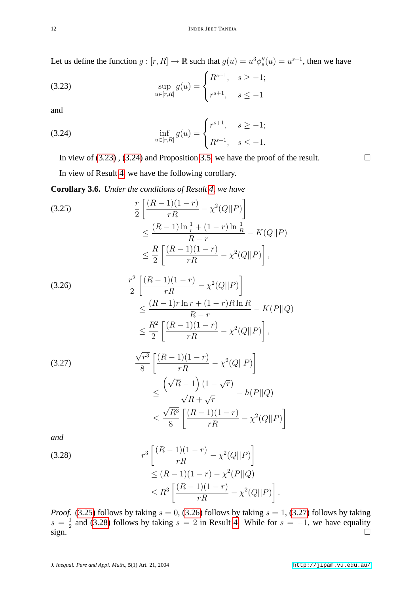Let us define the function  $g : [r, R] \to \mathbb{R}$  such that  $g(u) = u^3 \phi_s''(u) = u^{s+1}$ , then we have

(3.23) 
$$
\sup_{u \in [r,R]} g(u) = \begin{cases} R^{s+1}, & s \ge -1; \\ r^{s+1}, & s \le -1 \end{cases}
$$

<span id="page-11-1"></span>and

(3.24) 
$$
\inf_{u \in [r,R]} g(u) = \begin{cases} r^{s+1}, & s \ge -1; \\ R^{s+1}, & s \le -1. \end{cases}
$$

In view of  $(3.23)$ ,  $(3.24)$  and Proposition [3.5,](#page-10-0) we have the proof of the result.

In view of Result [4,](#page-10-1) we have the following corollary.

**Corollary 3.6.** *Under the conditions of Result [4,](#page-10-1) we have*

<span id="page-11-2"></span>(3.25)  

$$
\frac{r}{2} \left[ \frac{(R-1)(1-r)}{rR} - \chi^2(Q||P) \right]
$$

$$
\leq \frac{(R-1)\ln\frac{1}{r} + (1-r)\ln\frac{1}{R}}{R-r} - K(Q||P)
$$

$$
\leq \frac{R}{2} \left[ \frac{(R-1)(1-r)}{rR} - \chi^2(Q||P) \right],
$$

<span id="page-11-3"></span>(3.26) 
$$
\frac{r^2}{2} \left[ \frac{(R-1)(1-r)}{rR} - \chi^2(Q||P) \right] \le \frac{(R-1)r\ln r + (1-r)R\ln R}{R-r} - K(P||Q) \le \frac{R^2}{2} \left[ \frac{(R-1)(1-r)}{rR} - \chi^2(Q||P) \right],
$$

<span id="page-11-4"></span>(3.27)  
\n
$$
\frac{\sqrt{r^3}}{8} \left[ \frac{(R-1)(1-r)}{rR} - \chi^2(Q||P) \right]
$$
\n
$$
\leq \frac{\left(\sqrt{R}-1\right)(1-\sqrt{r})}{\sqrt{R}+\sqrt{r}} - h(P||Q)
$$
\n
$$
\leq \frac{\sqrt{R^3}}{8} \left[ \frac{(R-1)(1-r)}{rR} - \chi^2(Q||P) \right]
$$

*and*

<span id="page-11-5"></span>(3.28)  

$$
r^3 \left[ \frac{(R-1)(1-r)}{rR} - \chi^2(Q||P) \right]
$$

$$
\le (R-1)(1-r) - \chi^2(P||Q)
$$

$$
\le R^3 \left[ \frac{(R-1)(1-r)}{rR} - \chi^2(Q||P) \right]
$$

*Proof.* [\(3.25\)](#page-11-2) follows by taking  $s = 0$ , [\(3.26\)](#page-11-3) follows by taking  $s = 1$ , [\(3.27\)](#page-11-4) follows by taking  $s = \frac{1}{2}$  $\frac{1}{2}$  and [\(3.28\)](#page-11-5) follows by taking  $s = 2$  in Result [4.](#page-10-1) While for  $s = -1$ , we have equality  $\sin^{-2}$ 

.

<span id="page-11-0"></span>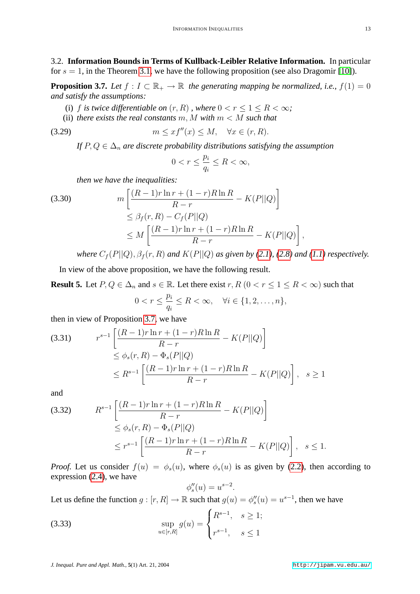3.2. **Information Bounds in Terms of Kullback-Leibler Relative Information.** In particular for  $s = 1$ , in the Theorem [3.1,](#page-6-6) we have the following proposition (see also Dragomir [\[10\]](#page-18-15)).

<span id="page-12-0"></span>**Proposition 3.7.** *Let*  $f: I \subset \mathbb{R}_+ \to \mathbb{R}$  *the generating mapping be normalized, i.e.,*  $f(1) = 0$ *and satisfy the assumptions:*

- (i) f is twice differentiable on  $(r, R)$ , where  $0 < r \leq 1 \leq R < \infty$ ;
- (ii) *there exists the real constants*  $m, M$  *with*  $m < M$  *such that*

$$
(3.29) \t m \leq x f''(x) \leq M, \quad \forall x \in (r, R).
$$

*If*  $P, Q \in \Delta_n$  *are discrete probability distributions satisfying the assumption* 

<span id="page-12-3"></span>
$$
0
$$

*then we have the inequalities:*

$$
(3.30)
$$
\n
$$
m\left[\frac{(R-1)r\ln r + (1-r)R\ln R}{R-r} - K(P||Q)\right]
$$
\n
$$
\leq \beta_f(r, R) - C_f(P||Q)
$$
\n
$$
\leq M\left[\frac{(R-1)r\ln r + (1-r)R\ln R}{R-r} - K(P||Q)\right]
$$

where 
$$
C_f(P||Q)
$$
,  $\beta_f(r, R)$  and  $K(P||Q)$  as given by (2.1), (2.8) and (1.1) respectively.

,

In view of the above proposition, we have the following result.

<span id="page-12-2"></span>**Result 5.** Let  $P, Q \in \Delta_n$  and  $s \in \mathbb{R}$ . Let there exist  $r, R$   $(0 < r \leq 1 \leq R < \infty)$  such that  $\boldsymbol{n}$ 

$$
0 < r \le \frac{\mu_i}{q_i} \le R < \infty, \quad \forall i \in \{1, 2, \dots, n\},
$$

then in view of Proposition [3.7,](#page-12-0) we have

$$
(3.31) \t r^{s-1} \left[ \frac{(R-1)r \ln r + (1-r)R \ln R}{R-r} - K(P||Q) \right]
$$
  
\n
$$
\leq \phi_s(r, R) - \Phi_s(P||Q)
$$
  
\n
$$
\leq R^{s-1} \left[ \frac{(R-1)r \ln r + (1-r)R \ln R}{R-r} - K(P||Q) \right], \quad s \geq 1
$$

and

(3.32) 
$$
R^{s-1} \left[ \frac{(R-1)r \ln r + (1-r)R \ln R}{R-r} - K(P||Q) \right] \le \phi_s(r, R) - \Phi_s(P||Q) \le r^{s-1} \left[ \frac{(R-1)r \ln r + (1-r)R \ln R}{R-r} - K(P||Q) \right], \quad s \le 1.
$$

*Proof.* Let us consider  $f(u) = \phi_s(u)$ , where  $\phi_s(u)$  is as given by [\(2.2\)](#page-2-4), then according to expression [\(2.4\)](#page-3-3), we have

$$
\phi_s''(u) = u^{s-2}
$$

<span id="page-12-1"></span>.

Let us define the function  $g : [r, R] \to \mathbb{R}$  such that  $g(u) = \phi''_s(u) = u^{s-1}$ , then we have

(3.33) 
$$
\sup_{u \in [r,R]} g(u) = \begin{cases} R^{s-1}, & s \ge 1; \\ r^{s-1}, & s \le 1 \end{cases}
$$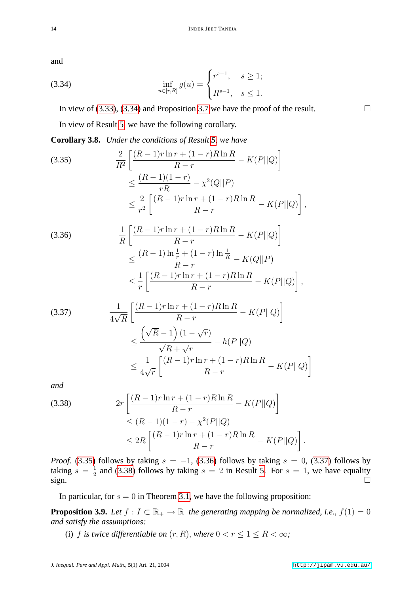<span id="page-13-0"></span>and

(3.34) 
$$
\inf_{u \in [r,R]} g(u) = \begin{cases} r^{s-1}, & s \ge 1; \\ R^{s-1}, & s \le 1. \end{cases}
$$

In view of [\(3.33\)](#page-12-1), [\(3.34\)](#page-13-0) and Proposition [3.7](#page-12-0) we have the proof of the result.  $\Box$ 

In view of Result [5,](#page-12-2) we have the following corollary.

**Corollary 3.8.** *Under the conditions of Result [5,](#page-12-2) we have*

<span id="page-13-1"></span>(3.35) 
$$
\frac{2}{R^2} \left[ \frac{(R-1)r \ln r + (1-r)R \ln R}{R-r} - K(P||Q) \right] \n\leq \frac{(R-1)(1-r)}{rR} - \chi^2(Q||P) \n\leq \frac{2}{r^2} \left[ \frac{(R-1)r \ln r + (1-r)R \ln R}{R-r} - K(P||Q) \right],
$$

<span id="page-13-2"></span>(3.36) 
$$
\frac{1}{R} \left[ \frac{(R-1)r \ln r + (1-r)R \ln R}{R-r} - K(P||Q) \right]
$$

$$
\leq \frac{(R-1)\ln\frac{1}{r} + (1-r)\ln\frac{1}{R}}{R-r} - K(Q||P) \n\leq \frac{1}{r} \left[ \frac{(R-1)r\ln r + (1-r)R\ln R}{R-r} - K(P||Q) \right],
$$

<span id="page-13-3"></span>(3.37)  
\n
$$
\frac{1}{4\sqrt{R}} \left[ \frac{(R-1)r \ln r + (1-r)R \ln R}{R-r} - K(P||Q) \right]
$$
\n
$$
\leq \frac{\left(\sqrt{R}-1\right)(1-\sqrt{r})}{\sqrt{R}+\sqrt{r}} - h(P||Q)
$$
\n
$$
\leq \frac{1}{4\sqrt{r}} \left[ \frac{(R-1)r \ln r + (1-r)R \ln R}{R-r} - K(P||Q) \right]
$$

*and*

<span id="page-13-4"></span>(3.38) 
$$
2r \left[ \frac{(R-1)r \ln r + (1-r)R \ln R}{R-r} - K(P||Q) \right] \n\le (R-1)(1-r) - \chi^2(P||Q) \n\le 2R \left[ \frac{(R-1)r \ln r + (1-r)R \ln R}{R-r} - K(P||Q) \right].
$$

*Proof.* [\(3.35\)](#page-13-1) follows by taking  $s = -1$ , [\(3.36\)](#page-13-2) follows by taking  $s = 0$ , [\(3.37\)](#page-13-3) follows by taking  $s = \frac{1}{2}$  $\frac{1}{2}$  and [\(3.38\)](#page-13-4) follows by taking  $s = 2$  in Result [5.](#page-12-2) For  $s = 1$ , we have equality  $sign.$ 

In particular, for  $s = 0$  in Theorem [3.1,](#page-6-6) we have the following proposition:

<span id="page-13-5"></span>**Proposition 3.9.** *Let*  $f: I \subset \mathbb{R}_+ \to \mathbb{R}$  *the generating mapping be normalized, i.e.,*  $f(1) = 0$ *and satisfy the assumptions:*

(i) f is twice differentiable on  $(r, R)$ , where  $0 < r \leq 1 \leq R < \infty$ ;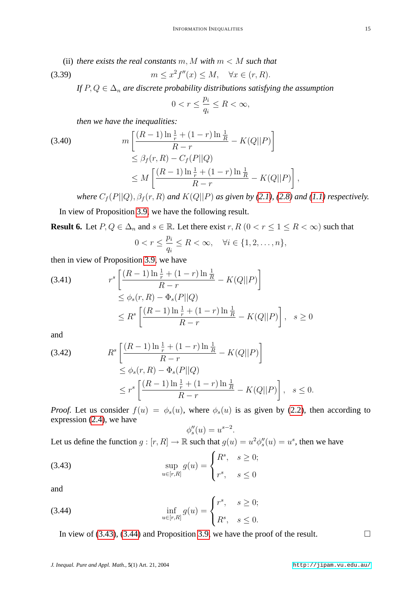(ii) *there exists the real constants*  $m$ ,  $M$  *with*  $m < M$  *such that* 

$$
(3.39) \t\t m \le x^2 f''(x) \le M, \quad \forall x \in (r, R).
$$

*If*  $P, Q \in \Delta_n$  *are discrete probability distributions satisfying the assumption* 

$$
0
$$

*then we have the inequalities:*

(3.40)  

$$
m\left[\frac{(R-1)\ln\frac{1}{r} + (1-r)\ln\frac{1}{R}}{R-r} - K(Q||P)\right]
$$

$$
\leq \beta_f(r, R) - C_f(P||Q)
$$

$$
\leq M\left[\frac{(R-1)\ln\frac{1}{r} + (1-r)\ln\frac{1}{R}}{R-r} - K(Q||P)\right]
$$

*where*  $C_f(P||Q)$ ,  $\beta_f(r, R)$  *and*  $K(Q||P)$  *as given by [\(2.1\)](#page-2-3), [\(2.8\)](#page-3-1) and* [\(1.1\)](#page-0-0) *respectively.* 

,

In view of Proposition [3.9,](#page-13-5) we have the following result.

<span id="page-14-2"></span>**Result 6.** Let  $P, Q \in \Delta_n$  and  $s \in \mathbb{R}$ . Let there exist  $r, R \ (0 < r \leq 1 \leq R < \infty)$  such that

$$
0 < r \le \frac{p_i}{q_i} \le R < \infty, \quad \forall i \in \{1, 2, \dots, n\},
$$

then in view of Proposition [3.9,](#page-13-5) we have

(3.41) 
$$
r^{s} \left[ \frac{(R-1)\ln\frac{1}{r} + (1-r)\ln\frac{1}{R}}{R-r} - K(Q||P) \right] \leq \phi_{s}(r, R) - \Phi_{s}(P||Q) \leq R^{s} \left[ \frac{(R-1)\ln\frac{1}{r} + (1-r)\ln\frac{1}{R}}{R-r} - K(Q||P) \right], \quad s \geq 0
$$

and

(3.42) 
$$
R^{s} \left[ \frac{(R-1)\ln\frac{1}{r} + (1-r)\ln\frac{1}{R}}{R-r} - K(Q||P) \right] \leq \phi_{s}(r, R) - \Phi_{s}(P||Q) \leq r^{s} \left[ \frac{(R-1)\ln\frac{1}{r} + (1-r)\ln\frac{1}{R}}{R-r} - K(Q||P) \right], \quad s \leq 0.
$$

*Proof.* Let us consider  $f(u) = \phi_s(u)$ , where  $\phi_s(u)$  is as given by [\(2.2\)](#page-2-4), then according to expression [\(2.4\)](#page-3-3), we have

<span id="page-14-0"></span>
$$
\phi_s''(u) = u^{s-2}.
$$

Let us define the function  $g: [r, R] \to \mathbb{R}$  such that  $g(u) = u^2 \phi_s''(u) = u^s$ , then we have

(3.43) 
$$
\sup_{u \in [r,R]} g(u) = \begin{cases} R^s, & s \ge 0; \\ r^s, & s \le 0 \end{cases}
$$

<span id="page-14-1"></span>and

(3.44) 
$$
\inf_{u \in [r,R]} g(u) = \begin{cases} r^s, & s \ge 0; \\ R^s, & s \le 0. \end{cases}
$$

In view of [\(3.43\)](#page-14-0), [\(3.44\)](#page-14-1) and Proposition [3.9,](#page-13-5) we have the proof of the result.  $\Box$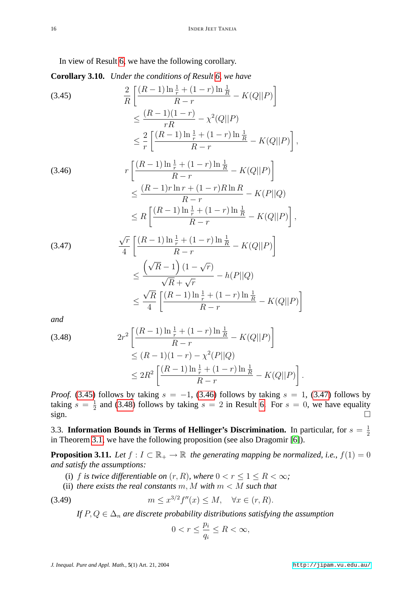In view of Result [6,](#page-14-2) we have the following corollary.

**Corollary 3.10.** *Under the conditions of Result [6,](#page-14-2) we have*

<span id="page-15-0"></span>(3.45)  

$$
\frac{2}{R} \left[ \frac{(R-1)\ln\frac{1}{r} + (1-r)\ln\frac{1}{R}}{R-r} - K(Q||P) \right]
$$

$$
\leq \frac{(R-1)(1-r)}{rR} - \chi^2(Q||P)
$$

$$
\leq \frac{2}{r} \left[ \frac{(R-1)\ln\frac{1}{r} + (1-r)\ln\frac{1}{R}}{R-r} - K(Q||P) \right],
$$

<span id="page-15-1"></span>
$$
(3.46) \qquad r \left[ \frac{(R-1)\ln\frac{1}{r} + (1-r)\ln\frac{1}{R}}{R-r} - K(Q||P) \right] \\
\leq \frac{(R-1)r\ln r + (1-r)R\ln R}{R-r} - K(P||Q) \\
\leq R \left[ \frac{(R-1)\ln\frac{1}{r} + (1-r)\ln\frac{1}{R}}{R-r} - K(Q||P) \right],
$$

<span id="page-15-2"></span>(3.47)  
\n
$$
\frac{\sqrt{r}}{4} \left[ \frac{(R-1)\ln\frac{1}{r} + (1-r)\ln\frac{1}{R}}{R-r} - K(Q||P) \right]
$$
\n
$$
\leq \frac{\left(\sqrt{R}-1\right)(1-\sqrt{r})}{\sqrt{R}+\sqrt{r}} - h(P||Q)
$$
\n
$$
\leq \frac{\sqrt{R}}{4} \left[ \frac{(R-1)\ln\frac{1}{r} + (1-r)\ln\frac{1}{R}}{R-r} - K(Q||P) \right]
$$

*and*

<span id="page-15-3"></span>
$$
(3.48) \t2r^2 \left[ \frac{(R-1)\ln\frac{1}{r} + (1-r)\ln\frac{1}{R}}{R-r} - K(Q||P) \right] \le (R-1)(1-r) - \chi^2(P||Q) \le 2R^2 \left[ \frac{(R-1)\ln\frac{1}{r} + (1-r)\ln\frac{1}{R}}{R-r} - K(Q||P) \right]
$$

*Proof.* [\(3.45\)](#page-15-0) follows by taking  $s = -1$ , [\(3.46\)](#page-15-1) follows by taking  $s = 1$ , [\(3.47\)](#page-15-2) follows by taking  $s = \frac{1}{2}$  $\frac{1}{2}$  and [\(3.48\)](#page-15-3) follows by taking  $s = 2$  in Result [6.](#page-14-2) For  $s = 0$ , we have equality  $sign.$ 

3.3. Information Bounds in Terms of Hellinger's Discrimination. In particular, for  $s = \frac{1}{2}$ 2 in Theorem [3.1,](#page-6-6) we have the following proposition (see also Dragomir [\[6\]](#page-18-16)).

<span id="page-15-4"></span>**Proposition 3.11.** *Let*  $f: I \subset \mathbb{R}_+ \to \mathbb{R}$  *the generating mapping be normalized, i.e.,*  $f(1) = 0$ *and satisfy the assumptions:*

- (i) f is twice differentiable on  $(r, R)$ , where  $0 < r \leq 1 \leq R < \infty$ ;
- (ii) *there exists the real constants* m, M *with* m < M *such that*

$$
(3.49) \t\t m \le x^{3/2} f''(x) \le M, \quad \forall x \in (r, R).
$$

*If*  $P, Q \in \Delta_n$  *are discrete probability distributions satisfying the assumption* 

$$
0 < r \le \frac{p_i}{q_i} \le R < \infty
$$

.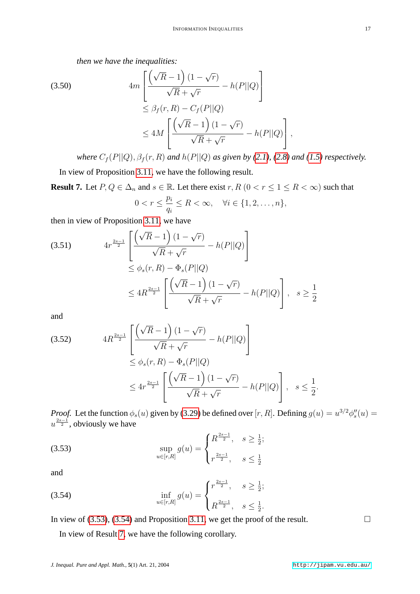*then we have the inequalities:*

(3.50)  
\n
$$
4m \left[ \frac{\left(\sqrt{R} - 1\right)(1 - \sqrt{r})}{\sqrt{R} + \sqrt{r}} - h(P||Q) \right]
$$
\n
$$
\leq \beta_f(r, R) - C_f(P||Q)
$$
\n
$$
\leq 4M \left[ \frac{\left(\sqrt{R} - 1\right)(1 - \sqrt{r})}{\sqrt{R} + \sqrt{r}} - h(P||Q) \right],
$$

*where*  $C_f(P||Q)$ ,  $\beta_f(r, R)$  *and*  $h(P||Q)$  *as given by [\(2.1\)](#page-2-3), [\(2.8\)](#page-3-1) and* [\(1.5\)](#page-1-3) *respectively.* 

In view of Proposition [3.11,](#page-15-4) we have the following result.

<span id="page-16-2"></span>**Result 7.** Let  $P, Q \in \Delta_n$  and  $s \in \mathbb{R}$ . Let there exist  $r, R$   $(0 < r \le 1 \le R < \infty)$  such that pi

$$
0 < r \le \frac{p_i}{q_i} \le R < \infty, \quad \forall i \in \{1, 2, \dots, n\},
$$

then in view of Proposition [3.11,](#page-15-4) we have

(3.51) 
$$
4r^{\frac{2s-1}{2}} \left[ \frac{(\sqrt{R}-1)(1-\sqrt{r})}{\sqrt{R}+\sqrt{r}} - h(P||Q) \right] \leq \phi_s(r, R) - \Phi_s(P||Q) \leq 4R^{\frac{2s-1}{2}} \left[ \frac{(\sqrt{R}-1)(1-\sqrt{r})}{\sqrt{R}+\sqrt{r}} - h(P||Q) \right], \quad s \geq \frac{1}{2}
$$

and

(3.52) 
$$
4R^{\frac{2s-1}{2}} \left[ \frac{(\sqrt{R}-1)(1-\sqrt{r})}{\sqrt{R}+\sqrt{r}} - h(P||Q) \right] \leq \phi_s(r, R) - \Phi_s(P||Q) \leq 4r^{\frac{2s-1}{2}} \left[ \frac{(\sqrt{R}-1)(1-\sqrt{r})}{\sqrt{R}+\sqrt{r}} - h(P||Q) \right], \quad s \leq \frac{1}{2}.
$$

<span id="page-16-0"></span>*Proof.* Let the function  $\phi_s(u)$  given by [\(3.29\)](#page-12-3) be defined over [r, R]. Defining  $g(u) = u^{3/2} \phi_s''(u)$  $u^{\frac{2s-1}{2}}$ , obviously we have

(3.53) 
$$
\sup_{u \in [r,R]} g(u) = \begin{cases} R^{\frac{2s-1}{2}}, & s \ge \frac{1}{2}; \\ r^{\frac{2s-1}{2}}, & s \le \frac{1}{2} \end{cases}
$$

<span id="page-16-1"></span>and

(3.54) 
$$
\inf_{u \in [r,R]} g(u) = \begin{cases} r^{\frac{2s-1}{2}}, & s \ge \frac{1}{2}; \\ R^{\frac{2s-1}{2}}, & s \le \frac{1}{2}. \end{cases}
$$

In view of [\(3.53\)](#page-16-0), [\(3.54\)](#page-16-1) and Proposition [3.11,](#page-15-4) we get the proof of the result.  $\Box$ 

In view of Result [7,](#page-16-2) we have the following corollary.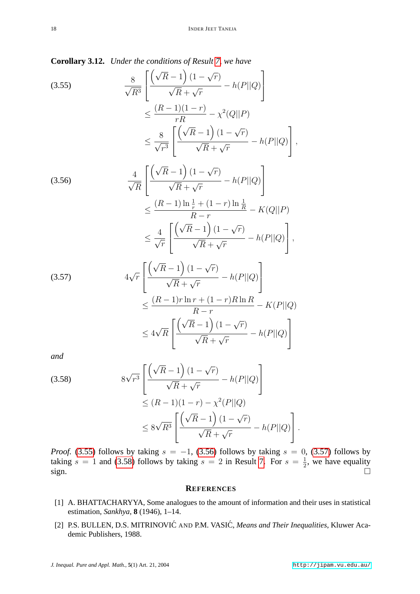,

**Corollary 3.12.** *Under the conditions of Result [7,](#page-16-2) we have*

<span id="page-17-2"></span>
$$
(3.55) \qquad \frac{8}{\sqrt{R^3}} \left[ \frac{\left(\sqrt{R} - 1\right)(1 - \sqrt{r})}{\sqrt{R} + \sqrt{r}} - h(P||Q) \right]
$$

$$
\leq \frac{(R - 1)(1 - r)}{rR} - \chi^2(Q||P)
$$

$$
\leq \frac{8}{\sqrt{r^3}} \left[ \frac{\left(\sqrt{R} - 1\right)(1 - \sqrt{r})}{\sqrt{R} + \sqrt{r}} - h(P||Q) \right]
$$

<span id="page-17-3"></span>(3.56)  
\n
$$
\frac{4}{\sqrt{R}} \left[ \frac{(\sqrt{R} - 1)(1 - \sqrt{r})}{\sqrt{R} + \sqrt{r}} - h(P||Q) \right]
$$
\n
$$
\leq \frac{(R - 1)\ln\frac{1}{r} + (1 - r)\ln\frac{1}{R}}{R - r} - K(Q||P)
$$
\n
$$
\leq \frac{4}{\sqrt{r}} \left[ \frac{(\sqrt{R} - 1)(1 - \sqrt{r})}{\sqrt{R} + \sqrt{r}} - h(P||Q) \right],
$$

<span id="page-17-4"></span>
$$
(3.57)
$$
\n
$$
4\sqrt{r} \left[ \frac{\left(\sqrt{R} - 1\right)(1 - \sqrt{r})}{\sqrt{R} + \sqrt{r}} - h(P||Q) \right]
$$
\n
$$
\leq \frac{(R - 1)r \ln r + (1 - r)R \ln R}{R - r} - K(P||Q)
$$
\n
$$
\leq 4\sqrt{R} \left[ \frac{\left(\sqrt{R} - 1\right)(1 - \sqrt{r})}{\sqrt{R} + \sqrt{r}} - h(P||Q) \right]
$$

*and*

<span id="page-17-5"></span>(3.58)  
\n
$$
8\sqrt{r^3} \left[ \frac{\left(\sqrt{R} - 1\right)(1 - \sqrt{r})}{\sqrt{R} + \sqrt{r}} - h(P||Q) \right]
$$
\n
$$
\leq (R - 1)(1 - r) - \chi^2(P||Q)
$$
\n
$$
\leq 8\sqrt{R^3} \left[ \frac{\left(\sqrt{R} - 1\right)(1 - \sqrt{r})}{\sqrt{R} + \sqrt{r}} - h(P||Q) \right].
$$

*Proof.* [\(3.55\)](#page-17-2) follows by taking  $s = -1$ , [\(3.56\)](#page-17-3) follows by taking  $s = 0$ , [\(3.57\)](#page-17-4) follows by taking  $s = 1$  and [\(3.58\)](#page-17-5) follows by taking  $s = 2$  in Result [7.](#page-16-2) For  $s = \frac{1}{2}$  $\frac{1}{2}$ , we have equality sign.  $\Box$ 

#### **REFERENCES**

- <span id="page-17-0"></span>[1] A. BHATTACHARYYA, Some analogues to the amount of information and their uses in statistical estimation, *Sankhya*, **8** (1946), 1–14.
- <span id="page-17-1"></span>[2] P.S. BULLEN, D.S. MITRINOVIĆ AND P.M. VASIĆ, Means and Their Inequalities, Kluwer Academic Publishers, 1988.